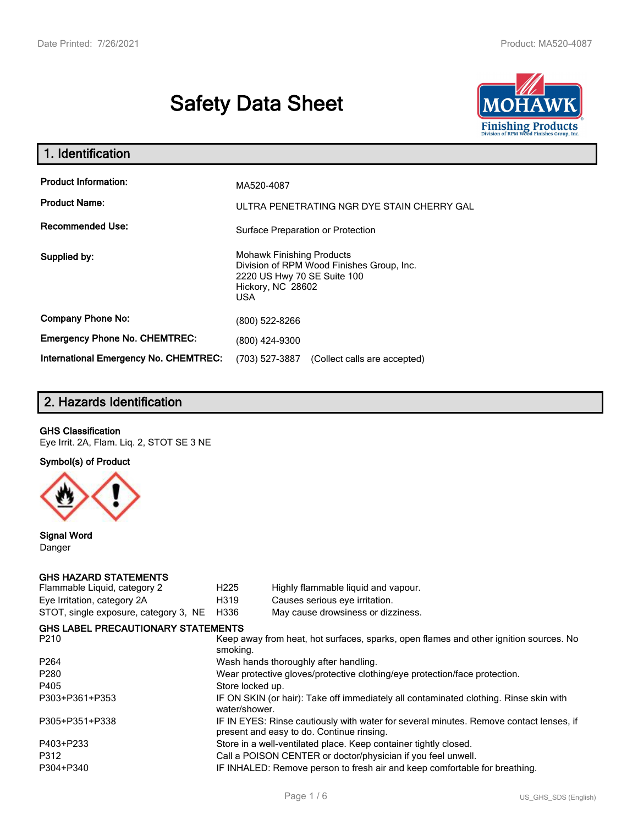# **Safety Data Sheet**



| 1. Identification                                   |                                                                                                                                                 |
|-----------------------------------------------------|-------------------------------------------------------------------------------------------------------------------------------------------------|
| <b>Product Information:</b><br><b>Product Name:</b> | MA520-4087<br>ULTRA PENETRATING NGR DYE STAIN CHERRY GAL                                                                                        |
| <b>Recommended Use:</b>                             | Surface Preparation or Protection                                                                                                               |
| Supplied by:                                        | <b>Mohawk Finishing Products</b><br>Division of RPM Wood Finishes Group, Inc.<br>2220 US Hwy 70 SE Suite 100<br>Hickory, NC 28602<br><b>USA</b> |
| <b>Company Phone No:</b>                            | (800) 522-8266                                                                                                                                  |
| <b>Emergency Phone No. CHEMTREC:</b>                | (800) 424-9300                                                                                                                                  |
| <b>International Emergency No. CHEMTREC:</b>        | (703) 527-3887<br>(Collect calls are accepted)                                                                                                  |

# **2. Hazards Identification**

#### **GHS Classification**

Eye Irrit. 2A, Flam. Liq. 2, STOT SE 3 NE

**Symbol(s) of Product**



**Signal Word** Danger

#### **GHS HAZARD STATEMENTS**

| Flammable Liquid, category 2              | H <sub>225</sub>                                                                                                                    | Highly flammable liquid and vapour. |  |  |
|-------------------------------------------|-------------------------------------------------------------------------------------------------------------------------------------|-------------------------------------|--|--|
| Eye Irritation, category 2A               | H319                                                                                                                                | Causes serious eye irritation.      |  |  |
| STOT, single exposure, category 3, NE     | H336                                                                                                                                | May cause drowsiness or dizziness.  |  |  |
| <b>GHS LABEL PRECAUTIONARY STATEMENTS</b> |                                                                                                                                     |                                     |  |  |
| P210                                      | Keep away from heat, hot surfaces, sparks, open flames and other ignition sources. No<br>smoking.                                   |                                     |  |  |
| P <sub>264</sub>                          | Wash hands thoroughly after handling.                                                                                               |                                     |  |  |
| P <sub>280</sub>                          | Wear protective gloves/protective clothing/eye protection/face protection.                                                          |                                     |  |  |
| P405                                      | Store locked up.                                                                                                                    |                                     |  |  |
| P303+P361+P353                            | IF ON SKIN (or hair): Take off immediately all contaminated clothing. Rinse skin with<br>water/shower.                              |                                     |  |  |
| P305+P351+P338                            | IF IN EYES: Rinse cautiously with water for several minutes. Remove contact lenses, if<br>present and easy to do. Continue rinsing. |                                     |  |  |
| P403+P233                                 | Store in a well-ventilated place. Keep container tightly closed.                                                                    |                                     |  |  |
| P312                                      | Call a POISON CENTER or doctor/physician if you feel unwell.                                                                        |                                     |  |  |
| P304+P340                                 | IF INHALED: Remove person to fresh air and keep comfortable for breathing.                                                          |                                     |  |  |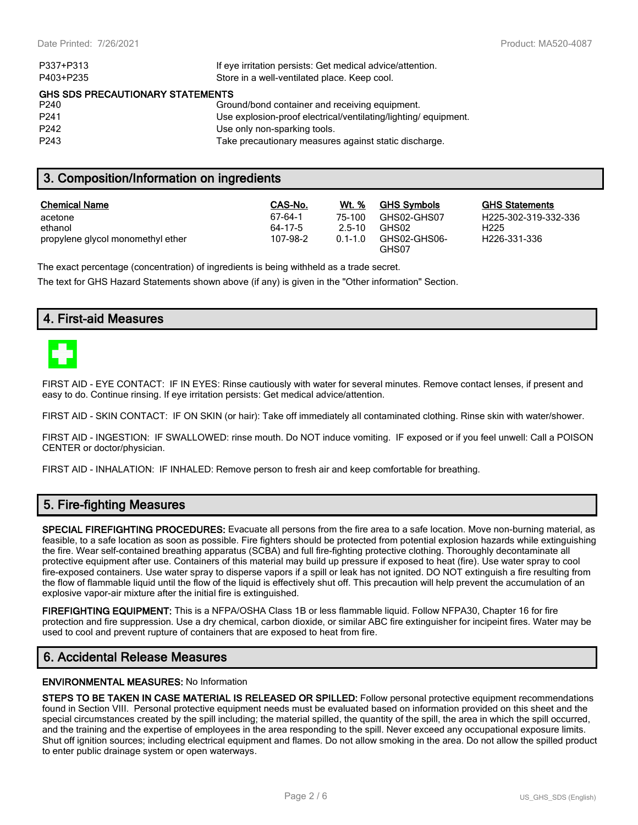| P337+P313                               | If eye irritation persists: Get medical advice/attention.      |  |  |
|-----------------------------------------|----------------------------------------------------------------|--|--|
| P403+P235                               | Store in a well-ventilated place. Keep cool.                   |  |  |
| <b>GHS SDS PRECAUTIONARY STATEMENTS</b> |                                                                |  |  |
| P <sub>240</sub>                        | Ground/bond container and receiving equipment.                 |  |  |
| P <sub>241</sub>                        | Use explosion-proof electrical/ventilating/lighting/equipment. |  |  |
| P <sub>242</sub>                        | Use only non-sparking tools.                                   |  |  |
| P <sub>243</sub>                        | Take precautionary measures against static discharge.          |  |  |

# **3. Composition/Information on ingredients**

| Chemical Name                     | CAS-No.  | Wt. %      | <b>GHS Symbols</b>    | GHS  |
|-----------------------------------|----------|------------|-----------------------|------|
| acetone                           | 67-64-1  | 75-100     | GHS02-GHS07           | H225 |
| ethanol                           | 64-17-5  | $2.5 - 10$ | GHS02                 | H225 |
| propylene glycol monomethyl ether | 107-98-2 | $01-10$    | GHS02-GHS06-<br>GHS07 | H226 |

**GHS Statements** H225-302-319-332-336 H226-331-336

The exact percentage (concentration) of ingredients is being withheld as a trade secret.

The text for GHS Hazard Statements shown above (if any) is given in the "Other information" Section.

# **4. First-aid Measures**



FIRST AID - EYE CONTACT: IF IN EYES: Rinse cautiously with water for several minutes. Remove contact lenses, if present and easy to do. Continue rinsing. If eye irritation persists: Get medical advice/attention.

FIRST AID - SKIN CONTACT: IF ON SKIN (or hair): Take off immediately all contaminated clothing. Rinse skin with water/shower.

FIRST AID - INGESTION: IF SWALLOWED: rinse mouth. Do NOT induce vomiting. IF exposed or if you feel unwell: Call a POISON CENTER or doctor/physician.

FIRST AID - INHALATION: IF INHALED: Remove person to fresh air and keep comfortable for breathing.

# **5. Fire-fighting Measures**

**SPECIAL FIREFIGHTING PROCEDURES:** Evacuate all persons from the fire area to a safe location. Move non-burning material, as feasible, to a safe location as soon as possible. Fire fighters should be protected from potential explosion hazards while extinguishing the fire. Wear self-contained breathing apparatus (SCBA) and full fire-fighting protective clothing. Thoroughly decontaminate all protective equipment after use. Containers of this material may build up pressure if exposed to heat (fire). Use water spray to cool fire-exposed containers. Use water spray to disperse vapors if a spill or leak has not ignited. DO NOT extinguish a fire resulting from the flow of flammable liquid until the flow of the liquid is effectively shut off. This precaution will help prevent the accumulation of an explosive vapor-air mixture after the initial fire is extinguished.

**FIREFIGHTING EQUIPMENT:** This is a NFPA/OSHA Class 1B or less flammable liquid. Follow NFPA30, Chapter 16 for fire protection and fire suppression. Use a dry chemical, carbon dioxide, or similar ABC fire extinguisher for incipeint fires. Water may be used to cool and prevent rupture of containers that are exposed to heat from fire.

# **6. Accidental Release Measures**

#### **ENVIRONMENTAL MEASURES:** No Information

**STEPS TO BE TAKEN IN CASE MATERIAL IS RELEASED OR SPILLED:** Follow personal protective equipment recommendations found in Section VIII. Personal protective equipment needs must be evaluated based on information provided on this sheet and the special circumstances created by the spill including; the material spilled, the quantity of the spill, the area in which the spill occurred, and the training and the expertise of employees in the area responding to the spill. Never exceed any occupational exposure limits. Shut off ignition sources; including electrical equipment and flames. Do not allow smoking in the area. Do not allow the spilled product to enter public drainage system or open waterways.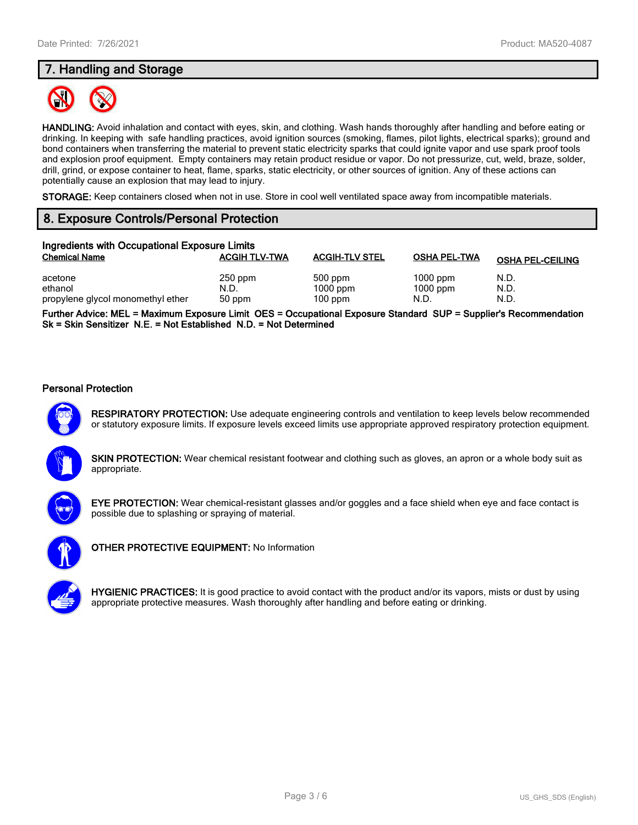# **7. Handling and Storage**



**HANDLING:** Avoid inhalation and contact with eyes, skin, and clothing. Wash hands thoroughly after handling and before eating or drinking. In keeping with safe handling practices, avoid ignition sources (smoking, flames, pilot lights, electrical sparks); ground and bond containers when transferring the material to prevent static electricity sparks that could ignite vapor and use spark proof tools and explosion proof equipment. Empty containers may retain product residue or vapor. Do not pressurize, cut, weld, braze, solder, drill, grind, or expose container to heat, flame, sparks, static electricity, or other sources of ignition. Any of these actions can potentially cause an explosion that may lead to injury.

**STORAGE:** Keep containers closed when not in use. Store in cool well ventilated space away from incompatible materials.

# **8. Exposure Controls/Personal Protection**

| Ingredients with Occupational Exposure Limits |                      |                         |                     |                         |  |
|-----------------------------------------------|----------------------|-------------------------|---------------------|-------------------------|--|
| <b>Chemical Name</b>                          | <b>ACGIH TLV-TWA</b> | <b>ACGIH-TLV STEL</b>   | <b>OSHA PEL-TWA</b> | <b>OSHA PEL-CEILING</b> |  |
| acetone                                       | $250$ ppm            | 500 ppm                 | $1000$ ppm          | N.D.                    |  |
| ethanol<br>propylene glycol monomethyl ether  | N.D.<br>50 ppm       | $1000$ ppm<br>$100$ ppm | $1000$ ppm<br>N.D.  | N.D.<br>N.D.            |  |

**Further Advice: MEL = Maximum Exposure Limit OES = Occupational Exposure Standard SUP = Supplier's Recommendation Sk = Skin Sensitizer N.E. = Not Established N.D. = Not Determined**

#### **Personal Protection**



**RESPIRATORY PROTECTION:** Use adequate engineering controls and ventilation to keep levels below recommended or statutory exposure limits. If exposure levels exceed limits use appropriate approved respiratory protection equipment.





**EYE PROTECTION:** Wear chemical-resistant glasses and/or goggles and a face shield when eye and face contact is possible due to splashing or spraying of material.



**OTHER PROTECTIVE EQUIPMENT:** No Information

**HYGIENIC PRACTICES:** It is good practice to avoid contact with the product and/or its vapors, mists or dust by using appropriate protective measures. Wash thoroughly after handling and before eating or drinking.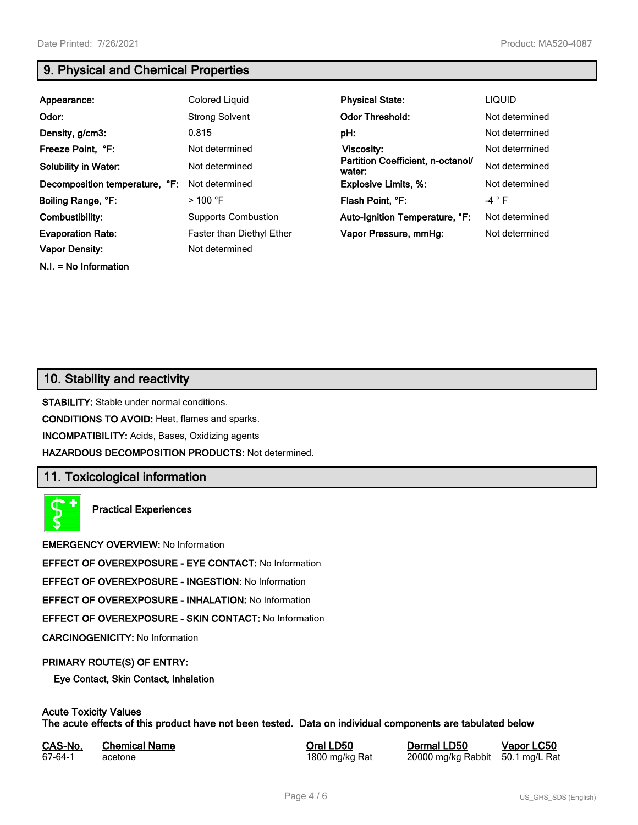**N.I. = No Information**

# **9. Physical and Chemical Properties**

| Appearance:                    | Colored Liquid             | <b>Physical State:</b>                      | <b>LIQUID</b>  |
|--------------------------------|----------------------------|---------------------------------------------|----------------|
| Odor:                          | <b>Strong Solvent</b>      | <b>Odor Threshold:</b>                      | Not determined |
| Density, g/cm3:                | 0.815                      | pH:                                         | Not determined |
| Freeze Point, °F:              | Not determined             | <b>Viscosity:</b>                           | Not determined |
| <b>Solubility in Water:</b>    | Not determined             | Partition Coefficient, n-octanol/<br>water: | Not determined |
| Decomposition temperature, °F: | Not determined             | <b>Explosive Limits, %:</b>                 | Not determined |
| Boiling Range, °F:             | $>100$ °F                  | Flash Point, °F:                            | $-4 ° F$       |
| Combustibility:                | <b>Supports Combustion</b> | Auto-Ignition Temperature, °F:              | Not determined |
| <b>Evaporation Rate:</b>       | Faster than Diethyl Ether  | Vapor Pressure, mmHg:                       | Not determined |
| <b>Vapor Density:</b>          | Not determined             |                                             |                |

# **10. Stability and reactivity**

**STABILITY:** Stable under normal conditions.

**CONDITIONS TO AVOID:** Heat, flames and sparks.

**INCOMPATIBILITY:** Acids, Bases, Oxidizing agents

**HAZARDOUS DECOMPOSITION PRODUCTS:** Not determined.

# **11. Toxicological information**

**Practical Experiences**

**EMERGENCY OVERVIEW:** No Information

**EFFECT OF OVEREXPOSURE - EYE CONTACT:** No Information

**EFFECT OF OVEREXPOSURE - INGESTION:** No Information

**EFFECT OF OVEREXPOSURE - INHALATION:** No Information

**EFFECT OF OVEREXPOSURE - SKIN CONTACT:** No Information

**CARCINOGENICITY:** No Information

#### **PRIMARY ROUTE(S) OF ENTRY:**

**Eye Contact, Skin Contact, Inhalation**

# **Acute Toxicity Values**

**The acute effects of this product have not been tested. Data on individual components are tabulated below**

| CAS-No. | <b>Chemical Name</b> |
|---------|----------------------|
| 67-64-1 | acetone              |

**Casary Chemical Chemical LD50 Chemical LD50 Vapor LC50** 1800 mg/kg Rat 20000 mg/kg Rabbit 50.1 mg/L Rat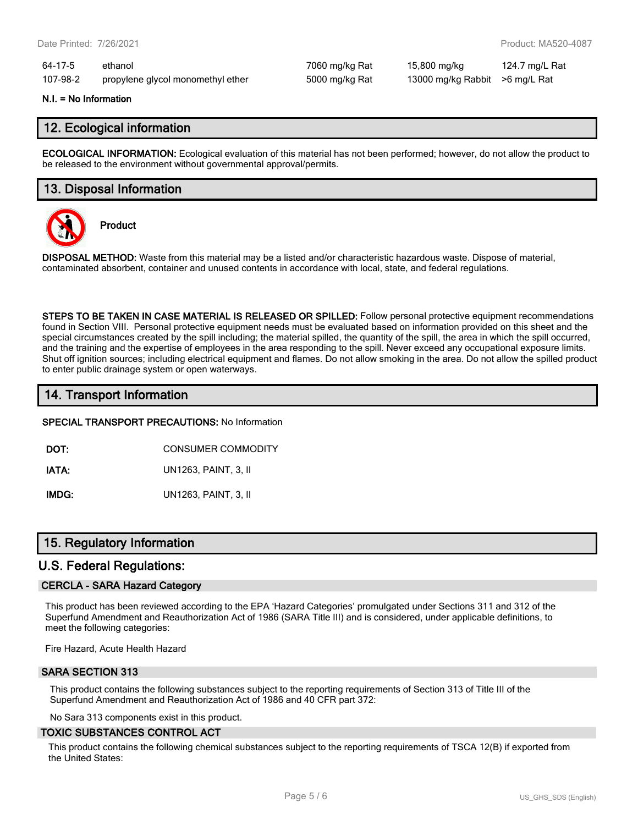64-17-5 ethanol 7060 mg/kg Rat 15,800 mg/kg 124.7 mg/L Rat 107-98-2 propylene glycol monomethyl ether 5000 mg/kg Rat 13000 mg/kg Rabbit >6 mg/L Rat

#### **N.I. = No Information**

## **12. Ecological information**

**ECOLOGICAL INFORMATION:** Ecological evaluation of this material has not been performed; however, do not allow the product to be released to the environment without governmental approval/permits.

## **13. Disposal Information**



**Product**

**DISPOSAL METHOD:** Waste from this material may be a listed and/or characteristic hazardous waste. Dispose of material, contaminated absorbent, container and unused contents in accordance with local, state, and federal regulations.

**STEPS TO BE TAKEN IN CASE MATERIAL IS RELEASED OR SPILLED:** Follow personal protective equipment recommendations found in Section VIII. Personal protective equipment needs must be evaluated based on information provided on this sheet and the special circumstances created by the spill including; the material spilled, the quantity of the spill, the area in which the spill occurred, and the training and the expertise of employees in the area responding to the spill. Never exceed any occupational exposure limits. Shut off ignition sources; including electrical equipment and flames. Do not allow smoking in the area. Do not allow the spilled product to enter public drainage system or open waterways.

# **14. Transport Information**

**SPECIAL TRANSPORT PRECAUTIONS:** No Information

**DOT:** CONSUMER COMMODITY

**IATA:** UN1263, PAINT, 3, II

**IMDG:** UN1263, PAINT, 3, II

# **15. Regulatory Information**

### **U.S. Federal Regulations:**

#### **CERCLA - SARA Hazard Category**

This product has been reviewed according to the EPA 'Hazard Categories' promulgated under Sections 311 and 312 of the Superfund Amendment and Reauthorization Act of 1986 (SARA Title III) and is considered, under applicable definitions, to meet the following categories:

Fire Hazard, Acute Health Hazard

#### **SARA SECTION 313**

This product contains the following substances subject to the reporting requirements of Section 313 of Title III of the Superfund Amendment and Reauthorization Act of 1986 and 40 CFR part 372:

No Sara 313 components exist in this product.

#### **TOXIC SUBSTANCES CONTROL ACT**

This product contains the following chemical substances subject to the reporting requirements of TSCA 12(B) if exported from the United States: